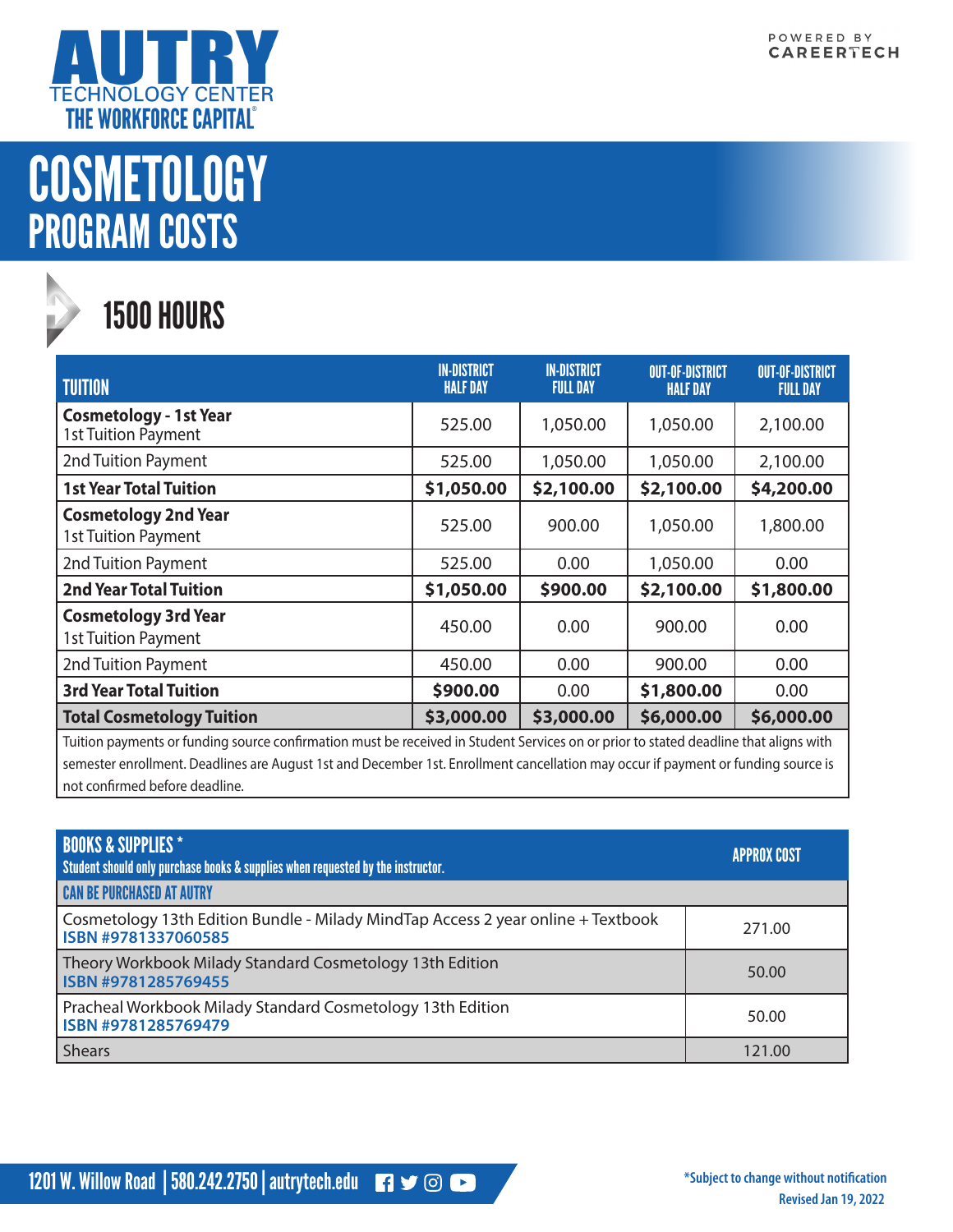

## **COSMETOLOGY** PROGRAM COSTS



## 1500 HOURS

| <b>TUITION</b>                                              | <b>IN-DISTRICT</b><br><b>HALF DAY</b> | <b>IN-DISTRICT</b><br><b>FULL DAY</b> | <b>OUT-OF-DISTRICT</b><br><b>HALF DAY</b> | <b>OUT-OF-DISTRICT</b><br><b>FULL DAY</b> |
|-------------------------------------------------------------|---------------------------------------|---------------------------------------|-------------------------------------------|-------------------------------------------|
| <b>Cosmetology - 1st Year</b><br><b>1st Tuition Payment</b> | 525.00                                | 1,050.00                              | 1,050.00                                  | 2,100.00                                  |
| 2nd Tuition Payment                                         | 525.00                                | 1,050.00                              | 1,050.00                                  | 2,100.00                                  |
| <b>1st Year Total Tuition</b>                               | \$1,050.00                            | \$2,100.00                            | \$2,100.00                                | \$4,200.00                                |
| <b>Cosmetology 2nd Year</b><br><b>1st Tuition Payment</b>   | 525.00                                | 900.00                                | 1,050.00                                  | 1,800.00                                  |
| 2nd Tuition Payment                                         | 525.00                                | 0.00                                  | 1,050.00                                  | 0.00                                      |
| <b>2nd Year Total Tuition</b>                               | \$1,050.00                            | \$900.00                              | \$2,100.00                                | \$1,800.00                                |
| <b>Cosmetology 3rd Year</b><br><b>1st Tuition Payment</b>   | 450.00                                | 0.00                                  | 900.00                                    | 0.00                                      |
| 2nd Tuition Payment                                         | 450.00                                | 0.00                                  | 900.00                                    | 0.00                                      |
| <b>3rd Year Total Tuition</b>                               | \$900.00                              | 0.00                                  | \$1,800.00                                | 0.00                                      |
| <b>Total Cosmetology Tuition</b>                            | \$3,000.00                            | \$3,000.00                            | \$6,000.00                                | \$6,000.00                                |

Tuition payments or funding source confirmation must be received in Student Services on or prior to stated deadline that aligns with semester enrollment. Deadlines are August 1st and December 1st. Enrollment cancellation may occur if payment or funding source is not confirmed before deadline.

| <b>BOOKS &amp; SUPPLIES *</b><br>Student should only purchase books & supplies when requested by the instructor. | <b>APPROX COST</b> |
|------------------------------------------------------------------------------------------------------------------|--------------------|
| <b>CAN BE PURCHASED AT AUTRY</b>                                                                                 |                    |
| Cosmetology 13th Edition Bundle - Milady MindTap Access 2 year online + Textbook<br><b>ISBN #9781337060585</b>   | 271.00             |
| Theory Workbook Milady Standard Cosmetology 13th Edition<br><b>ISBN #9781285769455</b>                           | 50.00              |
| Pracheal Workbook Milady Standard Cosmetology 13th Edition<br>ISBN #9781285769479                                | 50.00              |
| <b>Shears</b>                                                                                                    | 121.00             |